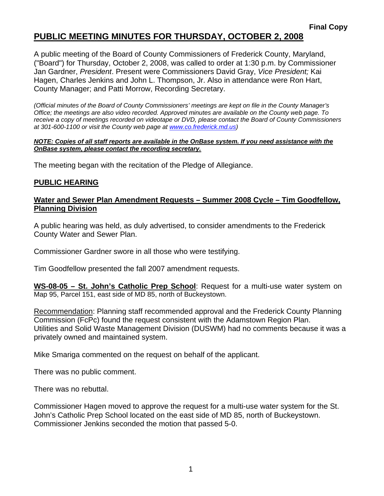### **PUBLIC MEETING MINUTES FOR THURSDAY, OCTOBER 2, 2008**

A public meeting of the Board of County Commissioners of Frederick County, Maryland, ("Board") for Thursday, October 2, 2008, was called to order at 1:30 p.m. by Commissioner Jan Gardner, *President*. Present were Commissioners David Gray, *Vice President;* Kai Hagen, Charles Jenkins and John L. Thompson, Jr. Also in attendance were Ron Hart, County Manager; and Patti Morrow, Recording Secretary.

*(Official minutes of the Board of County Commissioners' meetings are kept on file in the County Manager's Office; the meetings are also video recorded. Approved minutes are available on the County web page. To receive a copy of meetings recorded on videotape or DVD, please contact the Board of County Commissioners at 301-600-1100 or visit the County web page at www.co.frederick.md.us)* 

#### *NOTE: Copies of all staff reports are available in the OnBase system. If you need assistance with the OnBase system, please contact the recording secretary.*

The meeting began with the recitation of the Pledge of Allegiance.

### **PUBLIC HEARING**

### **Water and Sewer Plan Amendment Requests – Summer 2008 Cycle – Tim Goodfellow, Planning Division**

A public hearing was held, as duly advertised, to consider amendments to the Frederick County Water and Sewer Plan.

Commissioner Gardner swore in all those who were testifying.

Tim Goodfellow presented the fall 2007 amendment requests.

**WS-08-05 – St. John's Catholic Prep School**: Request for a multi-use water system on Map 95, Parcel 151, east side of MD 85, north of Buckeystown.

Recommendation: Planning staff recommended approval and the Frederick County Planning Commission (FcPc) found the request consistent with the Adamstown Region Plan. Utilities and Solid Waste Management Division (DUSWM) had no comments because it was a privately owned and maintained system.

Mike Smariga commented on the request on behalf of the applicant.

There was no public comment.

There was no rebuttal.

Commissioner Hagen moved to approve the request for a multi-use water system for the St. John's Catholic Prep School located on the east side of MD 85, north of Buckeystown. Commissioner Jenkins seconded the motion that passed 5-0.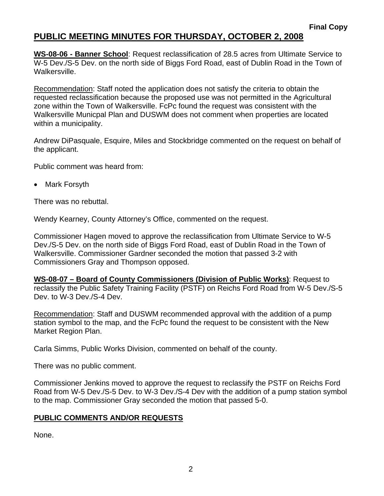## **PUBLIC MEETING MINUTES FOR THURSDAY, OCTOBER 2, 2008**

**WS-08-06 - Banner School**: Request reclassification of 28.5 acres from Ultimate Service to W-5 Dev./S-5 Dev. on the north side of Biggs Ford Road, east of Dublin Road in the Town of Walkersville.

Recommendation: Staff noted the application does not satisfy the criteria to obtain the requested reclassification because the proposed use was not permitted in the Agricultural zone within the Town of Walkersville. FcPc found the request was consistent with the Walkersville Municpal Plan and DUSWM does not comment when properties are located within a municipality.

Andrew DiPasquale, Esquire, Miles and Stockbridge commented on the request on behalf of the applicant.

Public comment was heard from:

• Mark Forsyth

There was no rebuttal.

Wendy Kearney, County Attorney's Office, commented on the request.

Commissioner Hagen moved to approve the reclassification from Ultimate Service to W-5 Dev./S-5 Dev. on the north side of Biggs Ford Road, east of Dublin Road in the Town of Walkersville. Commissioner Gardner seconded the motion that passed 3-2 with Commissioners Gray and Thompson opposed.

**WS-08-07 – Board of County Commissioners (Division of Public Works)**: Request to reclassify the Public Safety Training Facility (PSTF) on Reichs Ford Road from W-5 Dev./S-5 Dev. to W-3 Dev./S-4 Dev.

Recommendation: Staff and DUSWM recommended approval with the addition of a pump station symbol to the map, and the FcPc found the request to be consistent with the New Market Region Plan.

Carla Simms, Public Works Division, commented on behalf of the county.

There was no public comment.

Commissioner Jenkins moved to approve the request to reclassify the PSTF on Reichs Ford Road from W-5 Dev./S-5 Dev. to W-3 Dev./S-4 Dev with the addition of a pump station symbol to the map. Commissioner Gray seconded the motion that passed 5-0.

### **PUBLIC COMMENTS AND/OR REQUESTS**

None.